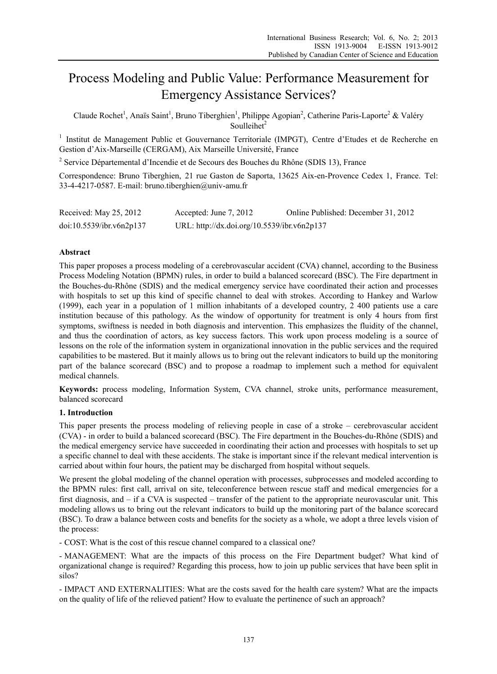# Process Modeling and Public Value: Performance Measurement for Emergency Assistance Services?

Claude Rochet<sup>1</sup>, Anaïs Saint<sup>1</sup>, Bruno Tiberghien<sup>1</sup>, Philippe Agopian<sup>2</sup>, Catherine Paris-Laporte<sup>2</sup> & Valéry Soulleihet $2$ 

<sup>1</sup> Institut de Management Public et Gouvernance Territoriale (IMPGT), Centre d'Etudes et de Recherche en Gestion d'Aix-Marseille (CERGAM), Aix Marseille Université, France

<sup>2</sup> Service Départemental d'Incendie et de Secours des Bouches du Rhône (SDIS 13), France

Correspondence: Bruno Tiberghien, 21 rue Gaston de Saporta, 13625 Aix-en-Provence Cedex 1, France. Tel: 33-4-4217-0587. E-mail: bruno.tiberghien@univ-amu.fr

| Received: May 25, 2012   | Accepted: June 7, 2012                      | Online Published: December 31, 2012 |
|--------------------------|---------------------------------------------|-------------------------------------|
| doi:10.5539/ibr.v6n2p137 | URL: http://dx.doi.org/10.5539/ibr.v6n2p137 |                                     |

## **Abstract**

This paper proposes a process modeling of a cerebrovascular accident (CVA) channel, according to the Business Process Modeling Notation (BPMN) rules, in order to build a balanced scorecard (BSC). The Fire department in the Bouches-du-Rhône (SDIS) and the medical emergency service have coordinated their action and processes with hospitals to set up this kind of specific channel to deal with strokes. According to Hankey and Warlow (1999), each year in a population of 1 million inhabitants of a developed country, 2 400 patients use a care institution because of this pathology. As the window of opportunity for treatment is only 4 hours from first symptoms, swiftness is needed in both diagnosis and intervention. This emphasizes the fluidity of the channel, and thus the coordination of actors, as key success factors. This work upon process modeling is a source of lessons on the role of the information system in organizational innovation in the public services and the required capabilities to be mastered. But it mainly allows us to bring out the relevant indicators to build up the monitoring part of the balance scorecard (BSC) and to propose a roadmap to implement such a method for equivalent medical channels.

**Keywords:** process modeling, Information System, CVA channel, stroke units, performance measurement, balanced scorecard

### **1. Introduction**

This paper presents the process modeling of relieving people in case of a stroke – cerebrovascular accident (CVA) - in order to build a balanced scorecard (BSC). The Fire department in the Bouches-du-Rhône (SDIS) and the medical emergency service have succeeded in coordinating their action and processes with hospitals to set up a specific channel to deal with these accidents. The stake is important since if the relevant medical intervention is carried about within four hours, the patient may be discharged from hospital without sequels.

We present the global modeling of the channel operation with processes, subprocesses and modeled according to the BPMN rules: first call, arrival on site, teleconference between rescue staff and medical emergencies for a first diagnosis, and – if a CVA is suspected – transfer of the patient to the appropriate neurovascular unit. This modeling allows us to bring out the relevant indicators to build up the monitoring part of the balance scorecard (BSC). To draw a balance between costs and benefits for the society as a whole, we adopt a three levels vision of the process:

- COST: What is the cost of this rescue channel compared to a classical one?

- MANAGEMENT: What are the impacts of this process on the Fire Department budget? What kind of organizational change is required? Regarding this process, how to join up public services that have been split in silos?

- IMPACT AND EXTERNALITIES: What are the costs saved for the health care system? What are the impacts on the quality of life of the relieved patient? How to evaluate the pertinence of such an approach?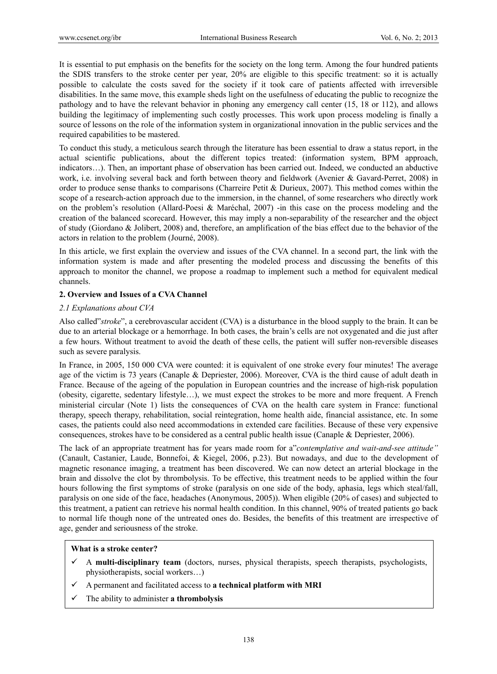It is essential to put emphasis on the benefits for the society on the long term. Among the four hundred patients the SDIS transfers to the stroke center per year, 20% are eligible to this specific treatment: so it is actually possible to calculate the costs saved for the society if it took care of patients affected with irreversible disabilities. In the same move, this example sheds light on the usefulness of educating the public to recognize the pathology and to have the relevant behavior in phoning any emergency call center (15, 18 or 112), and allows building the legitimacy of implementing such costly processes. This work upon process modeling is finally a source of lessons on the role of the information system in organizational innovation in the public services and the required capabilities to be mastered.

To conduct this study, a meticulous search through the literature has been essential to draw a status report, in the actual scientific publications, about the different topics treated: (information system, BPM approach, indicators…). Then, an important phase of observation has been carried out. Indeed, we conducted an abductive work, i.e. involving several back and forth between theory and fieldwork (Avenier & Gavard-Perret, 2008) in order to produce sense thanks to comparisons (Charreire Petit & Durieux, 2007). This method comes within the scope of a research-action approach due to the immersion, in the channel, of some researchers who directly work on the problem's resolution (Allard-Poesi & Maréchal, 2007) -in this case on the process modeling and the creation of the balanced scorecard. However, this may imply a non-separability of the researcher and the object of study (Giordano & Jolibert, 2008) and, therefore, an amplification of the bias effect due to the behavior of the actors in relation to the problem (Journé, 2008).

In this article, we first explain the overview and issues of the CVA channel. In a second part, the link with the information system is made and after presenting the modeled process and discussing the benefits of this approach to monitor the channel, we propose a roadmap to implement such a method for equivalent medical channels.

## **2. Overview and Issues of a CVA Channel**

#### *2.1 Explanations about CVA*

Also called"*stroke*", a cerebrovascular accident (CVA) is a disturbance in the blood supply to the brain. It can be due to an arterial blockage or a hemorrhage. In both cases, the brain's cells are not oxygenated and die just after a few hours. Without treatment to avoid the death of these cells, the patient will suffer non-reversible diseases such as severe paralysis.

In France, in 2005, 150 000 CVA were counted: it is equivalent of one stroke every four minutes! The average age of the victim is 73 years (Canaple & Depriester, 2006). Moreover, CVA is the third cause of adult death in France. Because of the ageing of the population in European countries and the increase of high-risk population (obesity, cigarette, sedentary lifestyle…), we must expect the strokes to be more and more frequent. A French ministerial circular (Note 1) lists the consequences of CVA on the health care system in France: functional therapy, speech therapy, rehabilitation, social reintegration, home health aide, financial assistance, etc. In some cases, the patients could also need accommodations in extended care facilities. Because of these very expensive consequences, strokes have to be considered as a central public health issue (Canaple & Depriester, 2006).

The lack of an appropriate treatment has for years made room for a"*contemplative and wait-and-see attitude"* (Canault, Castanier, Laude, Bonnefoi, & Kiegel, 2006, p.23). But nowadays, and due to the development of magnetic resonance imaging, a treatment has been discovered. We can now detect an arterial blockage in the brain and dissolve the clot by thrombolysis. To be effective, this treatment needs to be applied within the four hours following the first symptoms of stroke (paralysis on one side of the body, aphasia, legs which steal/fall, paralysis on one side of the face, headaches (Anonymous, 2005)). When eligible (20% of cases) and subjected to this treatment, a patient can retrieve his normal health condition. In this channel, 90% of treated patients go back to normal life though none of the untreated ones do. Besides, the benefits of this treatment are irrespective of age, gender and seriousness of the stroke.

#### **What is a stroke center?**

- A **multi-disciplinary team** (doctors, nurses, physical therapists, speech therapists, psychologists, physiotherapists, social workers…)
- A permanent and facilitated access to **a technical platform with MRI**
- The ability to administer **a thrombolysis**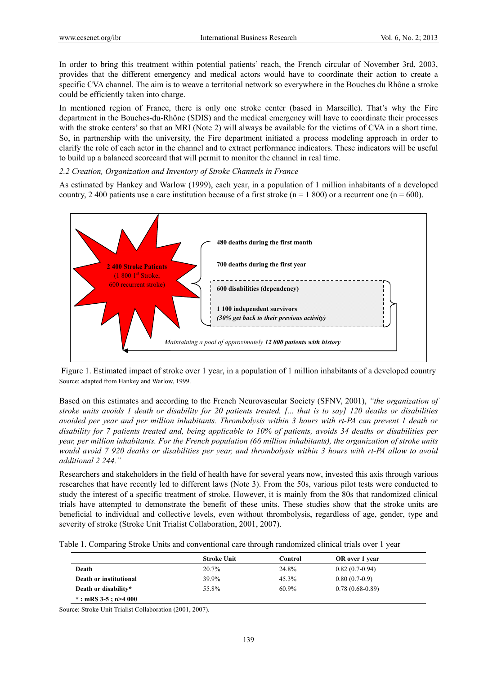In order to bring this treatment within potential patients' reach, the French circular of November 3rd, 2003, provides that the different emergency and medical actors would have to coordinate their action to create a specific CVA channel. The aim is to weave a territorial network so everywhere in the Bouches du Rhône a stroke could be efficiently taken into charge.

In mentioned region of France, there is only one stroke center (based in Marseille). That's why the Fire department in the Bouches-du-Rhône (SDIS) and the medical emergency will have to coordinate their processes with the stroke centers' so that an MRI (Note 2) will always be available for the victims of CVA in a short time. So, in partnership with the university, the Fire department initiated a process modeling approach in order to clarify the role of each actor in the channel and to extract performance indicators. These indicators will be useful to build up a balanced scorecard that will permit to monitor the channel in real time.

#### *2.2 Creation, Organization and Inventory of Stroke Channels in France*

As estimated by Hankey and Warlow (1999), each year, in a population of 1 million inhabitants of a developed country, 2 400 patients use a care institution because of a first stroke ( $n = 1800$ ) or a recurrent one ( $n = 600$ ).



Figure 1. Estimated impact of stroke over 1 year, in a population of 1 million inhabitants of a developed country Source: adapted from Hankey and Warlow, 1999.

Based on this estimates and according to the French Neurovascular Society (SFNV, 2001), *"the organization of stroke units avoids 1 death or disability for 20 patients treated, [... that is to say] 120 deaths or disabilities avoided per year and per million inhabitants. Thrombolysis within 3 hours with rt-PA can prevent 1 death or disability for 7 patients treated and, being applicable to 10% of patients, avoids 34 deaths or disabilities per year, per million inhabitants. For the French population (66 million inhabitants), the organization of stroke units would avoid 7 920 deaths or disabilities per year, and thrombolysis within 3 hours with rt-PA allow to avoid additional 2 244."*

Researchers and stakeholders in the field of health have for several years now, invested this axis through various researches that have recently led to different laws (Note 3). From the 50s, various pilot tests were conducted to study the interest of a specific treatment of stroke. However, it is mainly from the 80s that randomized clinical trials have attempted to demonstrate the benefit of these units. These studies show that the stroke units are beneficial to individual and collective levels, even without thrombolysis, regardless of age, gender, type and severity of stroke (Stroke Unit Trialist Collaboration, 2001, 2007).

|  | Table 1. Comparing Stroke Units and conventional care through randomized clinical trials over 1 year |  |  |
|--|------------------------------------------------------------------------------------------------------|--|--|
|  |                                                                                                      |  |  |

|                         | <b>Stroke Unit</b> | Control  | OR over 1 year    |
|-------------------------|--------------------|----------|-------------------|
| Death                   | 20.7%              | 24.8%    | $0.82(0.7-0.94)$  |
| Death or institutional  | 39.9%              | 45.3%    | $0.80(0.7-0.9)$   |
| Death or disability*    | 55.8%              | $60.9\%$ | $0.78(0.68-0.89)$ |
| $* : mRS 3-5 : n>4 000$ |                    |          |                   |

Source: Stroke Unit Trialist Collaboration (2001, 2007).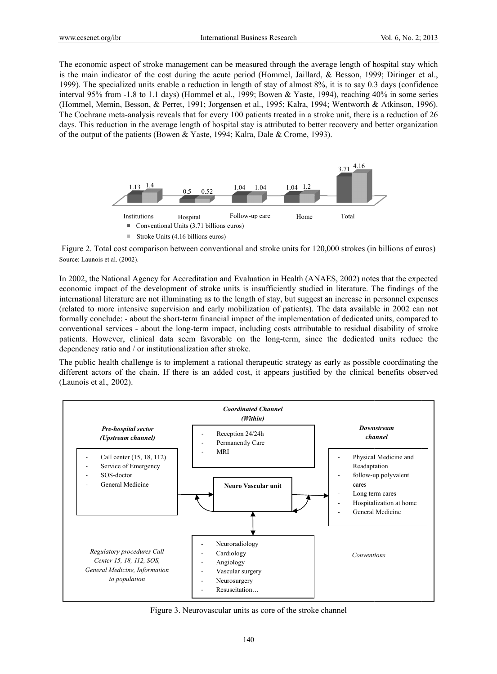The economic aspect of stroke management can be measured through the average length of hospital stay which is the main indicator of the cost during the acute period (Hommel, Jaillard, & Besson, 1999; Diringer et al., 1999). The specialized units enable a reduction in length of stay of almost 8%, it is to say 0.3 days (confidence interval 95% from -1.8 to 1.1 days) (Hommel et al., 1999; Bowen & Yaste, 1994), reaching 40% in some series (Hommel, Memin, Besson, & Perret, 1991; Jorgensen et al., 1995; Kalra, 1994; Wentworth & Atkinson, 1996). The Cochrane meta-analysis reveals that for every 100 patients treated in a stroke unit, there is a reduction of 26 days. This reduction in the average length of hospital stay is attributed to better recovery and better organization of the output of the patients (Bowen & Yaste, 1994; Kalra, Dale & Crome, 1993).



Stroke Units (4.16 billions euros)

Figure 2. Total cost comparison between conventional and stroke units for 120,000 strokes (in billions of euros) Source: Launois et al. (2002).

In 2002, the National Agency for Accreditation and Evaluation in Health (ANAES, 2002) notes that the expected economic impact of the development of stroke units is insufficiently studied in literature. The findings of the international literature are not illuminating as to the length of stay, but suggest an increase in personnel expenses (related to more intensive supervision and early mobilization of patients). The data available in 2002 can not formally conclude: - about the short-term financial impact of the implementation of dedicated units, compared to conventional services - about the long-term impact, including costs attributable to residual disability of stroke patients. However, clinical data seem favorable on the long-term, since the dedicated units reduce the dependency ratio and / or institutionalization after stroke.

The public health challenge is to implement a rational therapeutic strategy as early as possible coordinating the different actors of the chain. If there is an added cost, it appears justified by the clinical benefits observed (Launois e et al.*,* 2002).



Figure 3. Neurovascular units as core of the stroke channel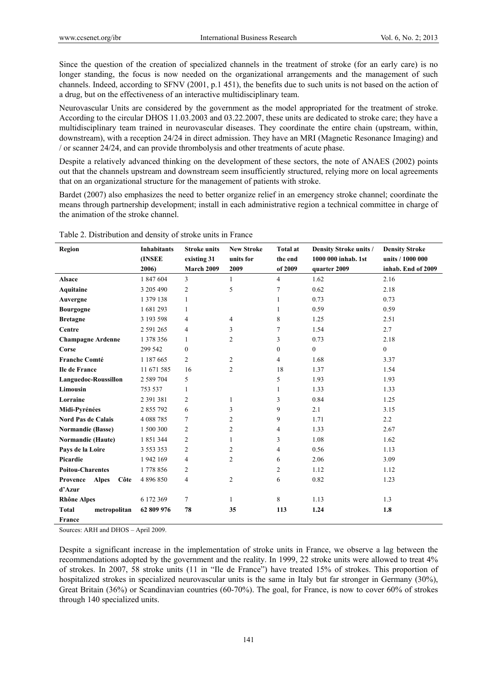Since the question of the creation of specialized channels in the treatment of stroke (for an early care) is no longer standing, the focus is now needed on the organizational arrangements and the management of such channels. Indeed, according to SFNV (2001, p.1 451), the benefits due to such units is not based on the action of a drug, but on the effectiveness of an interactive multidisciplinary team.

Neurovascular Units are considered by the government as the model appropriated for the treatment of stroke. According to the circular DHOS 11.03.2003 and 03.22.2007, these units are dedicated to stroke care; they have a multidisciplinary team trained in neurovascular diseases. They coordinate the entire chain (upstream, within, downstream), with a reception 24/24 in direct admission. They have an MRI (Magnetic Resonance Imaging) and / or scanner 24/24, and can provide thrombolysis and other treatments of acute phase.

Despite a relatively advanced thinking on the development of these sectors, the note of ANAES (2002) points out that the channels upstream and downstream seem insufficiently structured, relying more on local agreements that on an organizational structure for the management of patients with stroke.

Bardet (2007) also emphasizes the need to better organize relief in an emergency stroke channel; coordinate the means through partnership development; install in each administrative region a technical committee in charge of the animation of the stroke channel.

| <b>Region</b>                    | <b>Inhabitants</b> | <b>Stroke units</b> | <b>New Stroke</b> | <b>Total at</b> | <b>Density Stroke units /</b> | <b>Density Stroke</b> |
|----------------------------------|--------------------|---------------------|-------------------|-----------------|-------------------------------|-----------------------|
|                                  | <b>(INSEE)</b>     | existing 31         | units for         | the end         | 1000 000 inhab. 1st           | units / 1000 000      |
|                                  | 2006)              | <b>March 2009</b>   | 2009              | of 2009         | quarter 2009                  | inhab. End of 2009    |
| Alsace                           | 1 847 604          | 3                   | $\mathbf{1}$      | $\overline{4}$  | 1.62                          | 2.16                  |
| Aquitaine                        | 3 205 490          | 2                   | 5                 | 7               | 0.62                          | 2.18                  |
| Auvergne                         | 1 379 138          | 1                   |                   | 1               | 0.73                          | 0.73                  |
| <b>Bourgogne</b>                 | 1681293            | 1                   |                   | 1               | 0.59                          | 0.59                  |
| <b>Bretagne</b>                  | 3 193 598          | 4                   | $\overline{4}$    | 8               | 1.25                          | 2.51                  |
| Centre                           | 2 591 265          | 4                   | 3                 | 7               | 1.54                          | 2.7                   |
| <b>Champagne Ardenne</b>         | 1 378 356          | 1                   | $\overline{c}$    | 3               | 0.73                          | 2.18                  |
| Corse                            | 299 542            | $\overline{0}$      |                   | $\mathbf{0}$    | $\mathbf{0}$                  | $\theta$              |
| <b>Franche Comté</b>             | 1 187 665          | $\overline{2}$      | 2                 | $\overline{4}$  | 1.68                          | 3.37                  |
| <b>Ile de France</b>             | 11 671 585         | 16                  | $\overline{c}$    | 18              | 1.37                          | 1.54                  |
| <b>Languedoc-Roussillon</b>      | 2 589 704          | 5                   |                   | 5               | 1.93                          | 1.93                  |
| Limousin                         | 753 537            | 1                   |                   | 1               | 1.33                          | 1.33                  |
| Lorraine                         | 2 3 9 1 3 8 1      | $\overline{2}$      | 1                 | 3               | 0.84                          | 1.25                  |
| Midi-Pyrénées                    | 2 855 792          | 6                   | 3                 | 9               | 2.1                           | 3.15                  |
| <b>Nord Pas de Calais</b>        | 4 088 785          | 7                   | 2                 | 9               | 1.71                          | 2.2                   |
| <b>Normandie (Basse)</b>         | 1 500 300          | $\overline{c}$      | 2                 | 4               | 1.33                          | 2.67                  |
| <b>Normandie (Haute)</b>         | 1851344            | 2                   | 1                 | 3               | 1.08                          | 1.62                  |
| Pays de la Loire                 | 3 5 5 3 3 5 3      | 2                   | $\overline{2}$    | 4               | 0.56                          | 1.13                  |
| Picardie                         | 1942 169           | 4                   | $\overline{c}$    | 6               | 2.06                          | 3.09                  |
| <b>Poitou-Charentes</b>          | 1778 856           | $\overline{c}$      |                   | 2               | 1.12                          | 1.12                  |
| Provence<br><b>Alpes</b><br>Côte | 4 896 850          | 4                   | 2                 | 6               | 0.82                          | 1.23                  |
| d'Azur                           |                    |                     |                   |                 |                               |                       |
| <b>Rhône Alpes</b>               | 6 172 369          | 7                   | $\mathbf{1}$      | 8               | 1.13                          | 1.3                   |
| <b>Total</b><br>metropolitan     | 62 809 976         | 78                  | 35                | 113             | 1.24                          | 1.8                   |
| France                           |                    |                     |                   |                 |                               |                       |

Table 2. Distribution and density of stroke units in France

Sources: ARH and DHOS – April 2009.

Despite a significant increase in the implementation of stroke units in France, we observe a lag between the recommendations adopted by the government and the reality. In 1999, 22 stroke units were allowed to treat 4% of strokes. In 2007, 58 stroke units (11 in "Ile de France") have treated 15% of strokes. This proportion of hospitalized strokes in specialized neurovascular units is the same in Italy but far stronger in Germany (30%), Great Britain (36%) or Scandinavian countries (60-70%). The goal, for France, is now to cover 60% of strokes through 140 specialized units.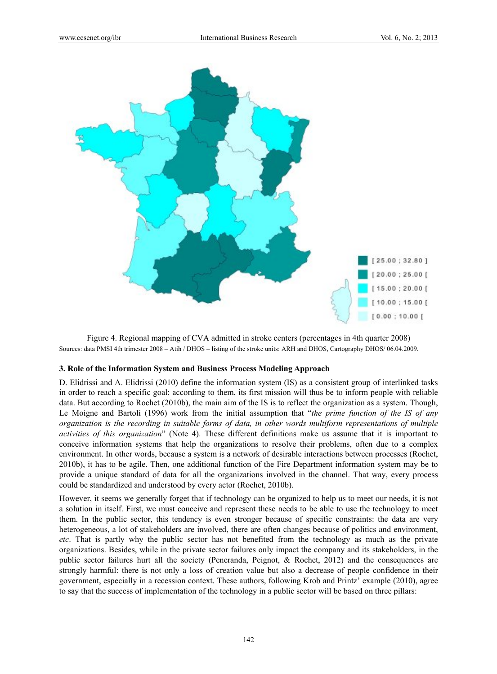

Figure 4. Regional mapping of CVA admitted in stroke centers (percentages in 4th quarter 2008) Sources: data PMSI 4th trimester 2008 – Atih / DHOS – listing of the stroke units: ARH and DHOS, Cartography DHOS/ 06.04.2009.

### **3. Role of the Information System and Business Process Modeling Approach**

D. Elidrissi and A. Elidrissi (2010) define the information system (IS) as a consistent group of interlinked tasks in order to reach a specific goal: according to them, its first mission will thus be to inform people with reliable data. But according to Rochet (2010b), the main aim of the IS is to reflect the organization as a system. Though, Le Moigne and Bartoli (1996) work from the initial assumption that "*the prime function of the IS of any organization is the recording in suitable forms of data, in other words multiform representations of multiple activities of this organization*" (Note 4). These different definitions make us assume that it is important to conceive information systems that help the organizations to resolve their problems, often due to a complex environment. In other words, because a system is a network of desirable interactions between processes (Rochet, 2010b), it has to be agile. Then, one additional function of the Fire Department information system may be to provide a unique standard of data for all the organizations involved in the channel. That way, every process could be standardized and understood by every actor (Rochet, 2010b).

However, it seems we generally forget that if technology can be organized to help us to meet our needs, it is not a solution in itself. First, we must conceive and represent these needs to be able to use the technology to meet them. In the public sector, this tendency is even stronger because of specific constraints: the data are very heterogeneous, a lot of stakeholders are involved, there are often changes because of politics and environment, *etc*. That is partly why the public sector has not benefited from the technology as much as the private organizations. Besides, while in the private sector failures only impact the company and its stakeholders, in the public sector failures hurt all the society (Peneranda, Peignot, & Rochet, 2012) and the consequences are strongly harmful: there is not only a loss of creation value but also a decrease of people confidence in their government, especially in a recession context. These authors, following Krob and Printz' example (2010), agree to say that the success of implementation of the technology in a public sector will be based on three pillars: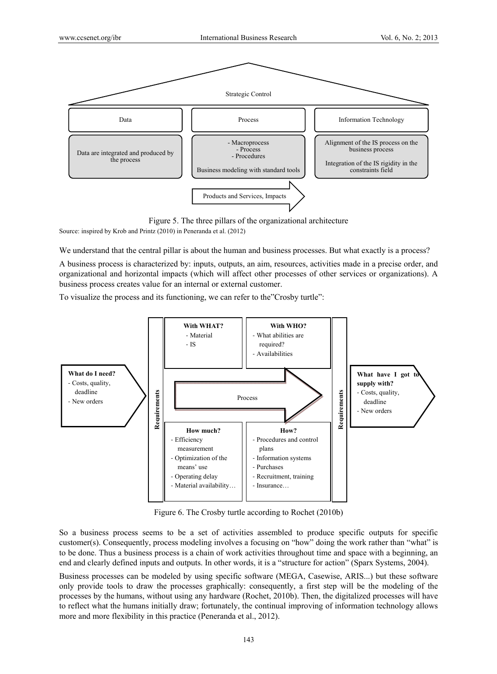

Figure 5. The three pillars of the organizational architecture

Source: inspired by Krob and Printz (2010) in Peneranda et al. (2012)

We understand that the central pillar is about the human and business processes. But what exactly is a process?

A business process is characterized by: inputs, outputs, an aim, resources, activities made in a precise order, and organizational and horizontal impacts (which will affect other processes of other services or organizations). A business process creates value for an internal or external customer.

To visualize the process and its functioning, we can refer to the"Crosby turtle":



Figure 6. The Crosby turtle according to Rochet (2010b)

So a business process seems to be a set of activities assembled to produce specific outputs for specific customer(s). Consequently, process modeling involves a focusing on "how" doing the work rather than "what" is to be done. Thus a business process is a chain of work activities throughout time and space with a beginning, an end and clearly defined inputs and outputs. In other words, it is a "structure for action" (Sparx Systems, 2004).

Business processes can be modeled by using specific software (MEGA, Casewise, ARIS...) but these software only provide tools to draw the processes graphically: consequently, a first step will be the modeling of the processes by the humans, without using any hardware (Rochet, 2010b). Then, the digitalized processes will have to reflect what the humans initially draw; fortunately, the continual improving of information technology allows more and more flexibility in this practice (Peneranda et al., 2012).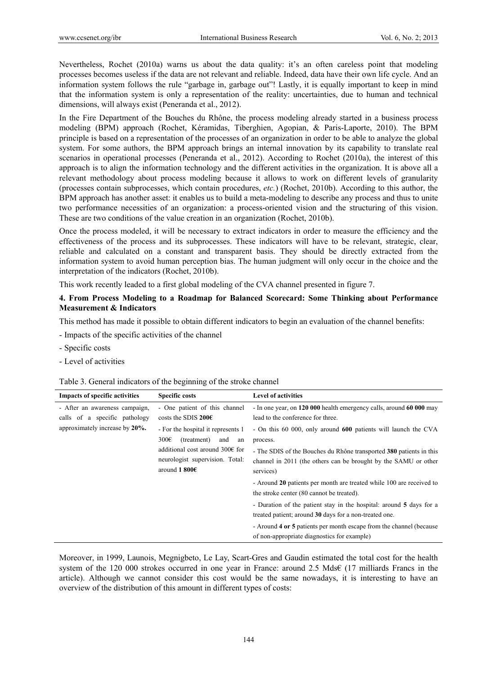Nevertheless, Rochet (2010a) warns us about the data quality: it's an often careless point that modeling processes becomes useless if the data are not relevant and reliable. Indeed, data have their own life cycle. And an information system follows the rule "garbage in, garbage out"! Lastly, it is equally important to keep in mind that the information system is only a representation of the reality: uncertainties, due to human and technical dimensions, will always exist (Peneranda et al., 2012).

In the Fire Department of the Bouches du Rhône, the process modeling already started in a business process modeling (BPM) approach (Rochet, Kéramidas, Tiberghien, Agopian, & Paris-Laporte, 2010). The BPM principle is based on a representation of the processes of an organization in order to be able to analyze the global system. For some authors, the BPM approach brings an internal innovation by its capability to translate real scenarios in operational processes (Peneranda et al., 2012). According to Rochet (2010a), the interest of this approach is to align the information technology and the different activities in the organization. It is above all a relevant methodology about process modeling because it allows to work on different levels of granularity (processes contain subprocesses, which contain procedures, *etc.*) (Rochet, 2010b). According to this author, the BPM approach has another asset: it enables us to build a meta-modeling to describe any process and thus to unite two performance necessities of an organization: a process-oriented vision and the structuring of this vision. These are two conditions of the value creation in an organization (Rochet, 2010b).

Once the process modeled, it will be necessary to extract indicators in order to measure the efficiency and the effectiveness of the process and its subprocesses. These indicators will have to be relevant, strategic, clear, reliable and calculated on a constant and transparent basis. They should be directly extracted from the information system to avoid human perception bias. The human judgment will only occur in the choice and the interpretation of the indicators (Rochet, 2010b).

This work recently leaded to a first global modeling of the CVA channel presented in figure 7.

## **4. From Process Modeling to a Roadmap for Balanced Scorecard: Some Thinking about Performance Measurement & Indicators**

This method has made it possible to obtain different indicators to begin an evaluation of the channel benefits:

- Impacts of the specific activities of the channel
- Specific costs
- Level of activities

| Table 3. General indicators of the beginning of the stroke channel |  |  |  |
|--------------------------------------------------------------------|--|--|--|
|                                                                    |  |  |  |

| <b>Impacts of specific activities</b>                                                             | <b>Specific costs</b>                                                                                                                                                            | <b>Level of activities</b>                                                                                                                                                                                                        |
|---------------------------------------------------------------------------------------------------|----------------------------------------------------------------------------------------------------------------------------------------------------------------------------------|-----------------------------------------------------------------------------------------------------------------------------------------------------------------------------------------------------------------------------------|
| - After an awareness campaign,<br>calls of a specific pathology<br>approximately increase by 20%. | - One patient of this channel<br>costs the SDIS $200 \in$                                                                                                                        | - In one year, on 120 000 health emergency calls, around 60 000 may<br>lead to the conference for three.                                                                                                                          |
|                                                                                                   | - For the hospital it represents 1<br>300E<br>(treatment)<br>and<br>an<br>additional cost around $300\epsilon$ for<br>neurologist supervision. Total:<br>around 1 800 $\epsilon$ | - On this 60 000, only around 600 patients will launch the CVA<br>process.<br>- The SDIS of the Bouches du Rhône transported 380 patients in this<br>channel in 2011 (the others can be brought by the SAMU or other<br>services) |
|                                                                                                   |                                                                                                                                                                                  | - Around 20 patients per month are treated while 100 are received to<br>the stroke center (80 cannot be treated).                                                                                                                 |
|                                                                                                   |                                                                                                                                                                                  | - Duration of the patient stay in the hospital: around 5 days for a<br>treated patient; around 30 days for a non-treated one.                                                                                                     |
|                                                                                                   |                                                                                                                                                                                  | - Around 4 or 5 patients per month escape from the channel (because<br>of non-appropriate diagnostics for example)                                                                                                                |

Moreover, in 1999, Launois, Megnigbeto, Le Lay, Scart-Gres and Gaudin estimated the total cost for the health system of the 120 000 strokes occurred in one year in France: around 2.5 Mds€ (17 milliards Francs in the article). Although we cannot consider this cost would be the same nowadays, it is interesting to have an overview of the distribution of this amount in different types of costs: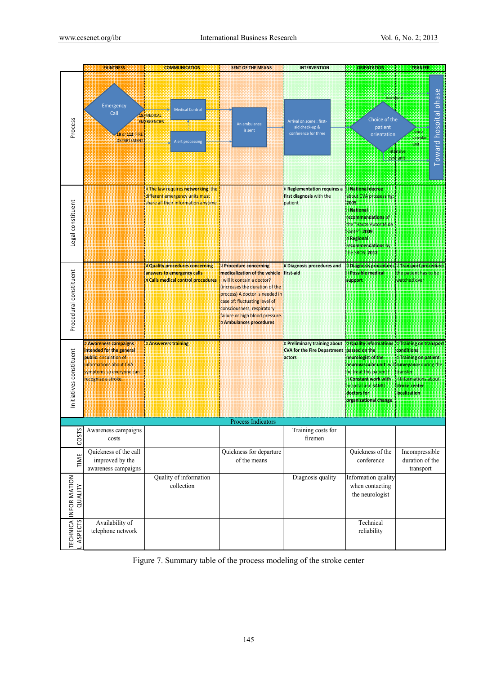|                                           | <b>FAINTNESS</b>                                                                                                                                                | <b>COMMUNICATION</b>                                                                                         | <b>SENT OF THE MEANS</b>                                                                                                                                                                                                                                                                              | <b>INTERVENTION</b>                                                                                                                   | <b>ORIENTATION</b>                                                                                                                                                                                                               | <b>TRANFER</b>                                                                                             |
|-------------------------------------------|-----------------------------------------------------------------------------------------------------------------------------------------------------------------|--------------------------------------------------------------------------------------------------------------|-------------------------------------------------------------------------------------------------------------------------------------------------------------------------------------------------------------------------------------------------------------------------------------------------------|---------------------------------------------------------------------------------------------------------------------------------------|----------------------------------------------------------------------------------------------------------------------------------------------------------------------------------------------------------------------------------|------------------------------------------------------------------------------------------------------------|
| Process                                   | Emergency<br>Call<br>18 or 112: FIRE<br><b>DEPARTEMENT</b>                                                                                                      | <b>Medical Control</b><br><b>5: MEDICAL</b><br><b>EMERGENCIES</b><br>Alert processing                        | An ambulance<br>is sent                                                                                                                                                                                                                                                                               | Arrival on scene : first-<br>aid check-up &<br>conference for three                                                                   | Choice of the<br>patient<br>orientation                                                                                                                                                                                          | Toward hospital phase<br>ieuro<br>vascular<br>unit<br><b>Intensive</b><br>care unit                        |
| Legal constituent                         |                                                                                                                                                                 | In The law requires networking: the<br>different emergency units must<br>share all their information anytime |                                                                                                                                                                                                                                                                                                       | ¤ Reglementation requires a<br>first diagnosis with the<br>patient                                                                    | <b>EX National decree</b><br>about CVA prossessing:<br>2005<br><b>In National</b><br>recommendations of<br><b>İ</b> the "Haute Autorité de<br><b>Santé"</b> : 2009<br><b>EX Regional</b><br>recommendations by<br>the SROS: 2012 |                                                                                                            |
| Procedural constituent                    |                                                                                                                                                                 | It Quality procedures concerning<br>answers to emergency calls<br><b>¤ Calls medical control procedures</b>  | <b>EX Procedure concerning</b><br>medicalization of the vehicle<br>will it contain a doctor?<br>(increases the duration of the<br>process) A doctor is needed in<br>case of: fluctuating level of<br>consciousness, respiratory<br>failure or high blood pressure.<br><b>EX Ambulances procedures</b> | <b>¤ Diagnosis procedures and</b><br>first-aid                                                                                        | <b>Ex Possible medical</b><br><b>Isupport</b>                                                                                                                                                                                    | <b>¤ Diagnosis procedures ¤ Transport procedure:</b><br>the patient has to be<br>watched over              |
| Initiatives constituent                   | <b>d Awareness campaigns</b><br>intended for the general<br>public: circulation of<br>informations about CVA<br>symptoms so everyone can<br>recognize a stroke. | <b>Ex Answerers training</b>                                                                                 |                                                                                                                                                                                                                                                                                                       | X Preliminary training about in Quality informations in Training on transport<br>CVA for the Fire Department jpassed on the<br>actors | ineurologist of the<br>ineurovascular unit: will surveyance during the<br>the treat this patient?<br><b>Ex Constant work with</b><br>hospital and SAMU<br>doctors for<br>organizational change                                   | conditions<br>i¤ Training on patient<br>transfer<br>i¤ Informations about<br>stroke center<br>localization |
| Ę                                         | Awareness campaigns                                                                                                                                             |                                                                                                              | Process Indicators                                                                                                                                                                                                                                                                                    | Training costs for                                                                                                                    |                                                                                                                                                                                                                                  |                                                                                                            |
| čos<br>TIME                               | costs<br>Quickness of the call<br>improved by the<br>awareness campaigns                                                                                        |                                                                                                              | Quickness for departure<br>of the means                                                                                                                                                                                                                                                               | firemen                                                                                                                               | Quickness of the<br>conference                                                                                                                                                                                                   | Incompressible<br>duration of the<br>transport                                                             |
| TECHNICA INFOR MATION<br>LASPECTS QUALITY |                                                                                                                                                                 | Quality of information<br>collection                                                                         |                                                                                                                                                                                                                                                                                                       | Diagnosis quality                                                                                                                     | Information quality<br>when contacting<br>the neurologist                                                                                                                                                                        |                                                                                                            |
|                                           | Availability of<br>telephone network                                                                                                                            |                                                                                                              |                                                                                                                                                                                                                                                                                                       |                                                                                                                                       | Technical<br>reliability                                                                                                                                                                                                         |                                                                                                            |

Figure 7. Summary table of the process modeling of the stroke center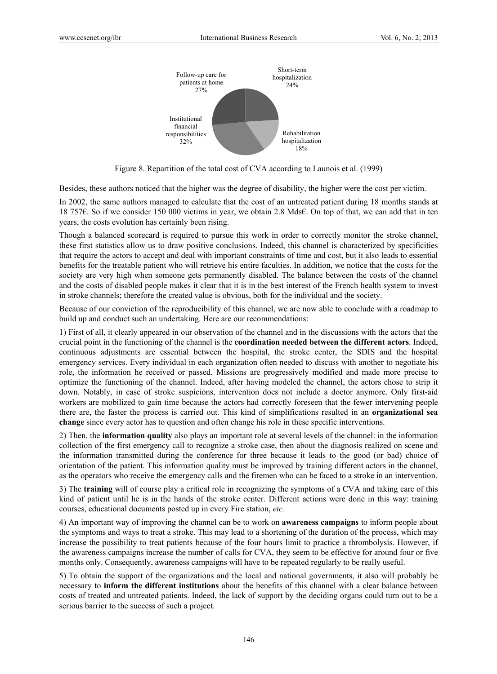

Figure 8. Repartition of the total cost of CVA according to Launois et al. (1999)

Besides, these authors noticed that the higher was the degree of disability, the higher were the cost per victim.

In 2002, the same authors managed to calculate that the cost of an untreated patient during 18 months stands at 18 757€. So if we consider 150 000 victims in year, we obtain 2.8 Mds€. On top of that, we can add that in ten years, the costs evolution has certainly been rising.

Though a balanced scorecard is required to pursue this work in order to correctly monitor the stroke channel, these first statistics allow us to draw positive conclusions. Indeed, this channel is characterized by specificities that require the actors to accept and deal with important constraints of time and cost, but it also leads to essential benefits for the treatable patient who will retrieve his entire faculties. In addition, we notice that the costs for the society are very high when someone gets permanently disabled. The balance between the costs of the channel and the costs of disabled people makes it clear that it is in the best interest of the French health system to invest in stroke channels; therefore the created value is obvious, both for the individual and the society.

Because of our conviction of the reproducibility of this channel, we are now able to conclude with a roadmap to build up and conduct such an undertaking. Here are our recommendations:

1) First of all, it clearly appeared in our observation of the channel and in the discussions with the actors that the crucial point in the functioning of the channel is the **coordination needed between the different actors**. Indeed, continuous adjustments are essential between the hospital, the stroke center, the SDIS and the hospital emergency services. Every individual in each organization often needed to discuss with another to negotiate his role, the information he received or passed. Missions are progressively modified and made more precise to optimize the functioning of the channel. Indeed, after having modeled the channel, the actors chose to strip it down. Notably, in case of stroke suspicions, intervention does not include a doctor anymore. Only first-aid workers are mobilized to gain time because the actors had correctly foreseen that the fewer intervening people there are, the faster the process is carried out. This kind of simplifications resulted in an **organizational sea change** since every actor has to question and often change his role in these specific interventions.

2) Then, the **information quality** also plays an important role at several levels of the channel: in the information collection of the first emergency call to recognize a stroke case, then about the diagnosis realized on scene and the information transmitted during the conference for three because it leads to the good (or bad) choice of orientation of the patient. This information quality must be improved by training different actors in the channel, as the operators who receive the emergency calls and the firemen who can be faced to a stroke in an intervention.

3) The **training** will of course play a critical role in recognizing the symptoms of a CVA and taking care of this kind of patient until he is in the hands of the stroke center. Different actions were done in this way: training courses, educational documents posted up in every Fire station, *etc.*

4) An important way of improving the channel can be to work on **awareness campaigns** to inform people about the symptoms and ways to treat a stroke. This may lead to a shortening of the duration of the process, which may increase the possibility to treat patients because of the four hours limit to practice a thrombolysis. However, if the awareness campaigns increase the number of calls for CVA, they seem to be effective for around four or five months only. Consequently, awareness campaigns will have to be repeated regularly to be really useful.

5) To obtain the support of the organizations and the local and national governments, it also will probably be necessary to **inform the different institutions** about the benefits of this channel with a clear balance between costs of treated and untreated patients. Indeed, the lack of support by the deciding organs could turn out to be a serious barrier to the success of such a project.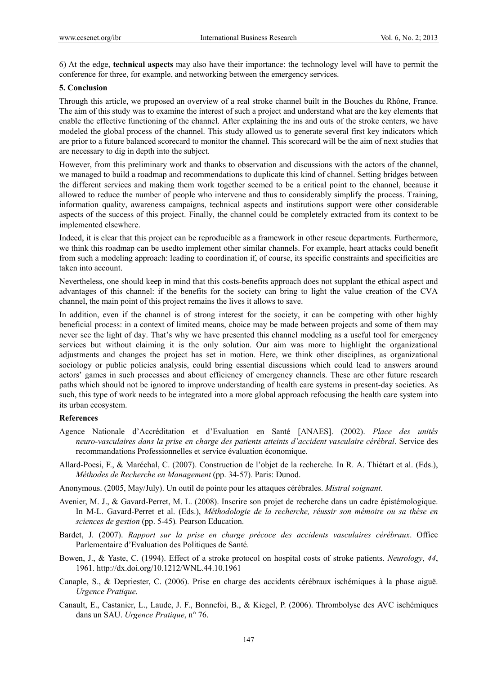6) At the edge, **technical aspects** may also have their importance: the technology level will have to permit the conference for three, for example, and networking between the emergency services.

#### **5. Conclusion**

Through this article, we proposed an overview of a real stroke channel built in the Bouches du Rhône, France. The aim of this study was to examine the interest of such a project and understand what are the key elements that enable the effective functioning of the channel. After explaining the ins and outs of the stroke centers, we have modeled the global process of the channel. This study allowed us to generate several first key indicators which are prior to a future balanced scorecard to monitor the channel. This scorecard will be the aim of next studies that are necessary to dig in depth into the subject.

However, from this preliminary work and thanks to observation and discussions with the actors of the channel, we managed to build a roadmap and recommendations to duplicate this kind of channel. Setting bridges between the different services and making them work together seemed to be a critical point to the channel, because it allowed to reduce the number of people who intervene and thus to considerably simplify the process. Training, information quality, awareness campaigns, technical aspects and institutions support were other considerable aspects of the success of this project. Finally, the channel could be completely extracted from its context to be implemented elsewhere.

Indeed, it is clear that this project can be reproducible as a framework in other rescue departments. Furthermore, we think this roadmap can be usedto implement other similar channels. For example, heart attacks could benefit from such a modeling approach: leading to coordination if, of course, its specific constraints and specificities are taken into account.

Nevertheless, one should keep in mind that this costs-benefits approach does not supplant the ethical aspect and advantages of this channel: if the benefits for the society can bring to light the value creation of the CVA channel, the main point of this project remains the lives it allows to save.

In addition, even if the channel is of strong interest for the society, it can be competing with other highly beneficial process: in a context of limited means, choice may be made between projects and some of them may never see the light of day. That's why we have presented this channel modeling as a useful tool for emergency services but without claiming it is the only solution. Our aim was more to highlight the organizational adjustments and changes the project has set in motion. Here, we think other disciplines, as organizational sociology or public policies analysis, could bring essential discussions which could lead to answers around actors' games in such processes and about efficiency of emergency channels. These are other future research paths which should not be ignored to improve understanding of health care systems in present-day societies. As such, this type of work needs to be integrated into a more global approach refocusing the health care system into its urban ecosystem.

## **References**

- Agence Nationale d'Accréditation et d'Evaluation en Santé [ANAES]. (2002). *Place des unités neuro-vasculaires dans la prise en charge des patients atteints d'accident vasculaire cérébral*. Service des recommandations Professionnelles et service évaluation économique.
- Allard-Poesi, F., & Maréchal, C. (2007). Construction de l'objet de la recherche. In R. A. Thiétart et al. (Eds.), *Méthodes de Recherche en Management* (pp. 34-57)*.* Paris: Dunod.
- Anonymous. (2005, May/July). Un outil de pointe pour les attaques cérébrales. *Mistral soignant*.
- Avenier, M. J., & Gavard-Perret, M. L. (2008). Inscrire son projet de recherche dans un cadre épistémologique. In M-L. Gavard-Perret et al. (Eds.), *Méthodologie de la recherche, réussir son mémoire ou sa thèse en sciences de gestion* (pp. 5-45)*.* Pearson Education.
- Bardet, J. (2007). *Rapport sur la prise en charge précoce des accidents vasculaires cérébraux*. Office Parlementaire d'Evaluation des Politiques de Santé.
- Bowen, J., & Yaste, C. (1994). Effect of a stroke protocol on hospital costs of stroke patients. *Neurology*, *44*, 1961. http://dx.doi.org/10.1212/WNL.44.10.1961
- Canaple, S., & Depriester, C. (2006). Prise en charge des accidents cérébraux ischémiques à la phase aiguë. *Urgence Pratique*.
- Canault, E., Castanier, L., Laude, J. F., Bonnefoi, B., & Kiegel, P. (2006). Thrombolyse des AVC ischémiques dans un SAU. *Urgence Pratique*, n° 76.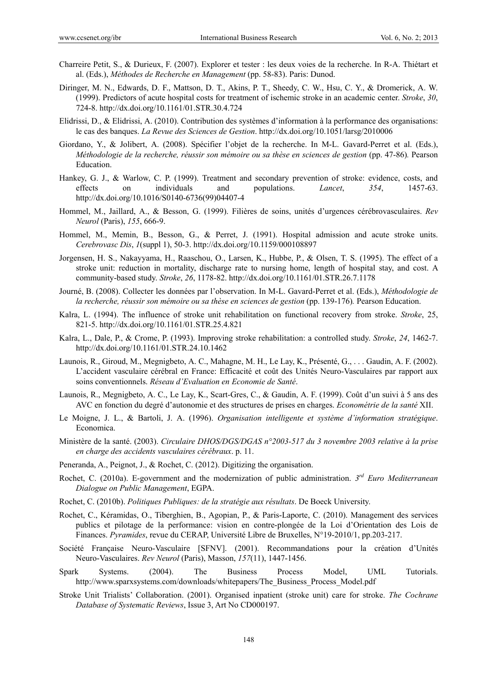- Charreire Petit, S., & Durieux, F. (2007). Explorer et tester : les deux voies de la recherche. In R-A. Thiétart et al. (Eds.), *Méthodes de Recherche en Management* (pp. 58-83). Paris: Dunod.
- Diringer, M. N., Edwards, D. F., Mattson, D. T., Akins, P. T., Sheedy, C. W., Hsu, C. Y., & Dromerick, A. W. (1999). Predictors of acute hospital costs for treatment of ischemic stroke in an academic center. *Stroke*, *30*, 724-8. http://dx.doi.org/10.1161/01.STR.30.4.724
- Elidrissi, D., & Elidrissi, A. (2010). Contribution des systèmes d'information à la performance des organisations: le cas des banques. *La Revue des Sciences de Gestion*. http://dx.doi.org/10.1051/larsg/2010006
- Giordano, Y., & Jolibert, A. (2008). Spécifier l'objet de la recherche. In M-L. Gavard-Perret et al. (Eds.), *Méthodologie de la recherche, réussir son mémoire ou sa thèse en sciences de gestion* (pp. 47-86)*.* Pearson Education.
- Hankey, G. J., & Warlow, C. P. (1999). Treatment and secondary prevention of stroke: evidence, costs, and effects on individuals and populations. *Lancet*, *354*, 1457-63. http://dx.doi.org/10.1016/S0140-6736(99)04407-4
- Hommel, M., Jaillard, A., & Besson, G. (1999). Filières de soins, unités d'urgences cérébrovasculaires. *Rev Neurol* (Paris), *155*, 666-9.
- Hommel, M., Memin, B., Besson, G., & Perret, J. (1991). Hospital admission and acute stroke units. *Cerebrovasc Dis*, *1*(suppl 1), 50-3. http://dx.doi.org/10.1159/000108897
- Jorgensen, H. S., Nakayyama, H., Raaschou, O., Larsen, K., Hubbe, P., & Olsen, T. S. (1995). The effect of a stroke unit: reduction in mortality, discharge rate to nursing home, length of hospital stay, and cost. A community-based study. *Stroke*, *26*, 1178-82. http://dx.doi.org/10.1161/01.STR.26.7.1178
- Journé, B. (2008). Collecter les données par l'observation. In M-L. Gavard-Perret et al. (Eds.), *Méthodologie de la recherche, réussir son mémoire ou sa thèse en sciences de gestion* (pp. 139-176)*.* Pearson Education.
- Kalra, L. (1994). The influence of stroke unit rehabilitation on functional recovery from stroke. *Stroke*, 25, 821-5. http://dx.doi.org/10.1161/01.STR.25.4.821
- Kalra, L., Dale, P., & Crome, P. (1993). Improving stroke rehabilitation: a controlled study. *Stroke*, *24*, 1462-7. http://dx.doi.org/10.1161/01.STR.24.10.1462
- Launois, R., Giroud, M., Megnigbeto, A. C., Mahagne, M. H., Le Lay, K., Présenté, G., . . . Gaudin, A. F. (2002). L'accident vasculaire cérébral en France: Efficacité et coût des Unités Neuro-Vasculaires par rapport aux soins conventionnels. *Réseau d'Evaluation en Economie de Santé*.
- Launois, R., Megnigbeto, A. C., Le Lay, K., Scart-Gres, C., & Gaudin, A. F. (1999). Coût d'un suivi à 5 ans des AVC en fonction du degré d'autonomie et des structures de prises en charges. *Econométrie de la santé* XII.
- Le Moigne, J. L., & Bartoli, J. A. (1996). *Organisation intelligente et système d'information stratégique*. Economica.
- Ministère de la santé. (2003). *Circulaire DHOS/DGS/DGAS n°2003-517 du 3 novembre 2003 relative à la prise en charge des accidents vasculaires cérébraux*. p. 11.
- Peneranda, A., Peignot, J., & Rochet, C. (2012). Digitizing the organisation.
- Rochet, C. (2010a). E-government and the modernization of public administration. *3rd Euro Mediterranean Dialogue on Public Management*, EGPA.
- Rochet, C. (2010b). *Politiques Publiques: de la stratégie aux résultats*. De Boeck University.
- Rochet, C., Kéramidas, O., Tiberghien, B., Agopian, P., & Paris-Laporte, C. (2010). Management des services publics et pilotage de la performance: vision en contre-plongée de la Loi d'Orientation des Lois de Finances. *Pyramides*, revue du CERAP, Université Libre de Bruxelles, N°19-2010/1, pp.203-217.
- Société Française Neuro-Vasculaire [SFNV]. (2001). Recommandations pour la création d'Unités Neuro-Vasculaires. *Rev Neurol* (Paris), Masson, *157*(11), 1447-1456.
- Spark Systems. (2004). The Business Process Model, UML Tutorials. http://www.sparxsystems.com/downloads/whitepapers/The\_Business\_Process\_Model.pdf
- Stroke Unit Trialists' Collaboration. (2001). Organised inpatient (stroke unit) care for stroke. *The Cochrane Database of Systematic Reviews*, Issue 3, Art No CD000197.